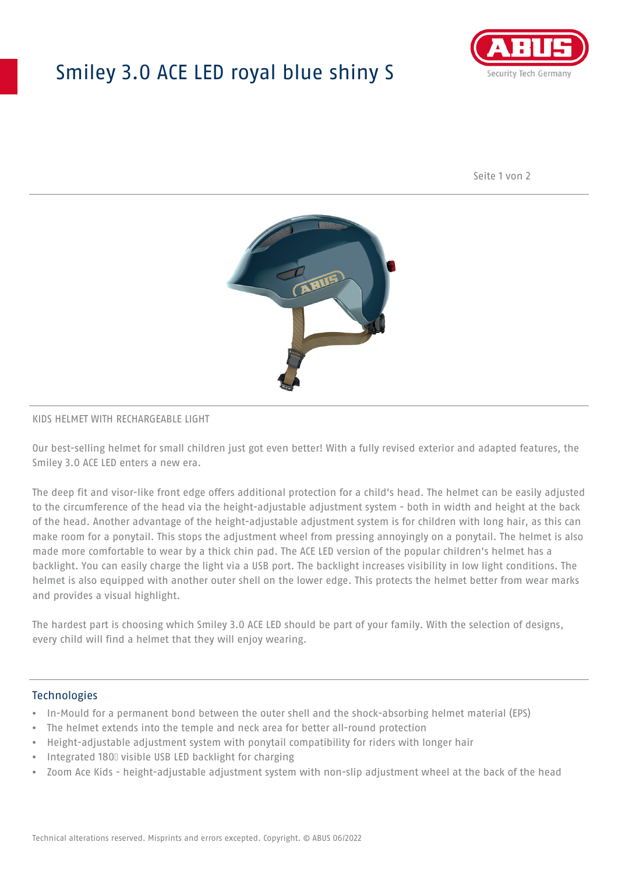# Smiley 3.0 ACE LED royal blue shiny S



Seite 1 von 2



#### KIDS HELMET WITH RECHARGEABLE LIGHT

Our best-selling helmet for small children just got even better! With a fully revised exterior and adapted features, the Smiley 3.0 ACE LED enters a new era.

The deep fit and visor-like front edge offers additional protection for a child's head. The helmet can be easily adjusted to the circumference of the head via the height-adjustable adjustment system - both in width and height at the back of the head. Another advantage of the height-adjustable adjustment system is for children with long hair, as this can make room for a ponytail. This stops the adjustment wheel from pressing annoyingly on a ponytail. The helmet is also made more comfortable to wear by a thick chin pad. The ACE LED version of the popular children's helmet has a backlight. You can easily charge the light via a USB port. The backlight increases visibility in low light conditions. The helmet is also equipped with another outer shell on the lower edge. This protects the helmet better from wear marks and provides a visual highlight.

The hardest part is choosing which Smiley 3.0 ACE LED should be part of your family. With the selection of designs, every child will find a helmet that they will enjoy wearing.

#### **Technologies**

- In-Mould for a permanent bond between the outer shell and the shock-absorbing helmet material (EPS)
- The helmet extends into the temple and neck area for better all-round protection
- Height-adjustable adjustment system with ponytail compatibility for riders with longer hair
- Integrated 180⁰ visible USB LED backlight for charging
- Zoom Ace Kids height-adjustable adjustment system with non-slip adjustment wheel at the back of the head